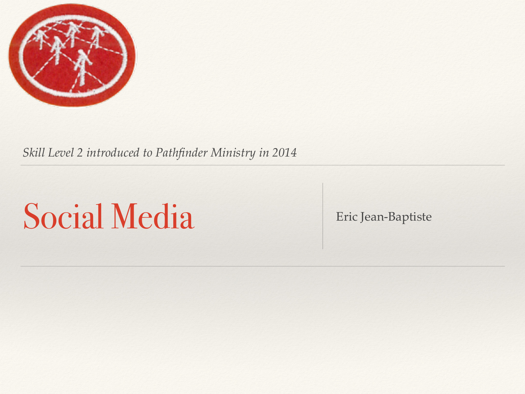

*Skill Level 2 introduced to Pathfinder Ministry in 2014*

## Social Media Eric Jean-Baptiste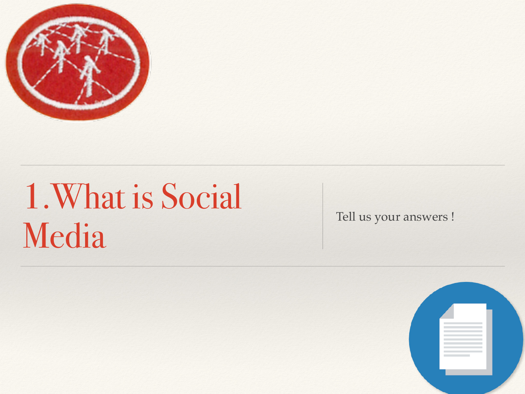

## 1.What is Social Media Tell us your answers !

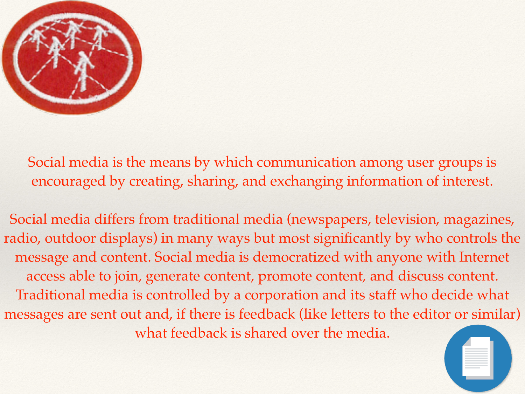

Social media is the means by which communication among user groups is encouraged by creating, sharing, and exchanging information of interest.

Social media differs from traditional media (newspapers, television, magazines, radio, outdoor displays) in many ways but most significantly by who controls the message and content. Social media is democratized with anyone with Internet access able to join, generate content, promote content, and discuss content. Traditional media is controlled by a corporation and its staff who decide what messages are sent out and, if there is feedback (like letters to the editor or similar) what feedback is shared over the media.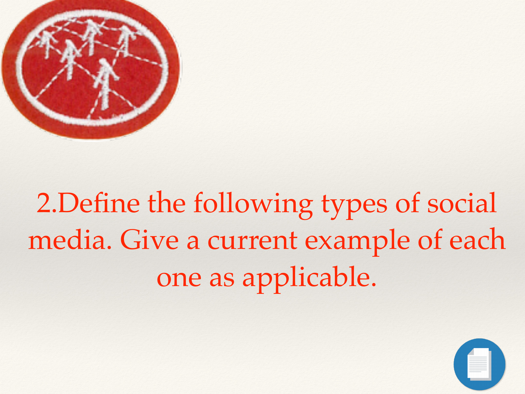

### 2.Define the following types of social media. Give a current example of each one as applicable.

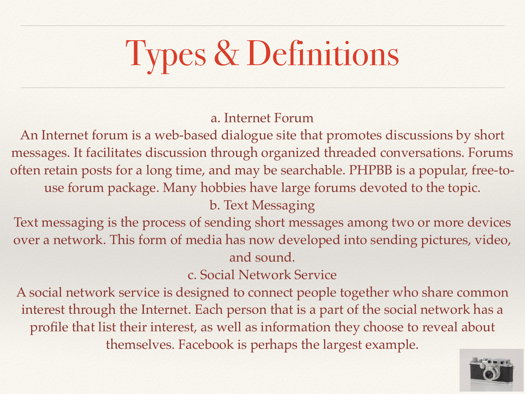# Types & Definitions

#### a. Internet Forum

An Internet forum is a web-based dialogue site that promotes discussions by short messages. It facilitates discussion through organized threaded conversations. Forums often retain posts for a long time, and may be searchable. PHPBB is a popular, free-touse forum package. Many hobbies have large forums devoted to the topic.

b. Text Messaging

Text messaging is the process of sending short messages among two or more devices over a network. This form of media has now developed into sending pictures, video, and sound.

c. Social Network Service

A social network service is designed to connect people together who share common interest through the Internet. Each person that is a part of the social network has a profile that list their interest, as well as information they choose to reveal about themselves. Facebook is perhaps the largest example.

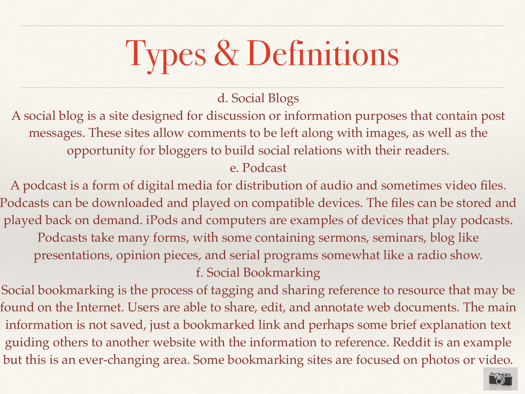## Types & Definitions

d. Social Blogs

A social blog is a site designed for discussion or information purposes that contain post messages. These sites allow comments to be left along with images, as well as the opportunity for bloggers to build social relations with their readers.

e. Podcast

A podcast is a form of digital media for distribution of audio and sometimes video files. Podcasts can be downloaded and played on compatible devices. The files can be stored and played back on demand. iPods and computers are examples of devices that play podcasts. Podcasts take many forms, with some containing sermons, seminars, blog like presentations, opinion pieces, and serial programs somewhat like a radio show. f. Social Bookmarking

Social bookmarking is the process of tagging and sharing reference to resource that may be found on the Internet. Users are able to share, edit, and annotate web documents. The main information is not saved, just a bookmarked link and perhaps some brief explanation text guiding others to another website with the information to reference. Reddit is an example but this is an ever-changing area. Some bookmarking sites are focused on photos or video.

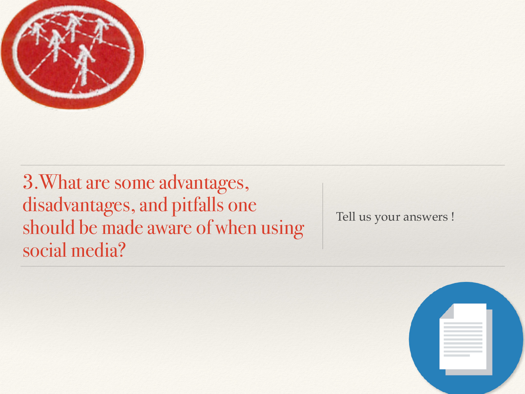

3.What are some advantages, disadvantages, and pitfalls one should be made aware of when using social media?

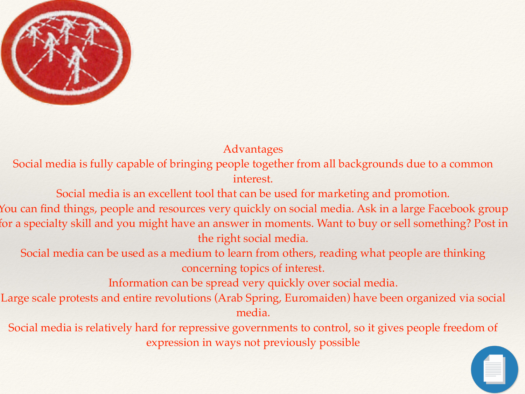

Advantages

Social media is fully capable of bringing people together from all backgrounds due to a common interest.

Social media is an excellent tool that can be used for marketing and promotion.

You can find things, people and resources very quickly on social media. Ask in a large Facebook group for a specialty skill and you might have an answer in moments. Want to buy or sell something? Post in the right social media.

Social media can be used as a medium to learn from others, reading what people are thinking concerning topics of interest.

Information can be spread very quickly over social media.

Large scale protests and entire revolutions (Arab Spring, Euromaiden) have been organized via social media.

Social media is relatively hard for repressive governments to control, so it gives people freedom of expression in ways not previously possible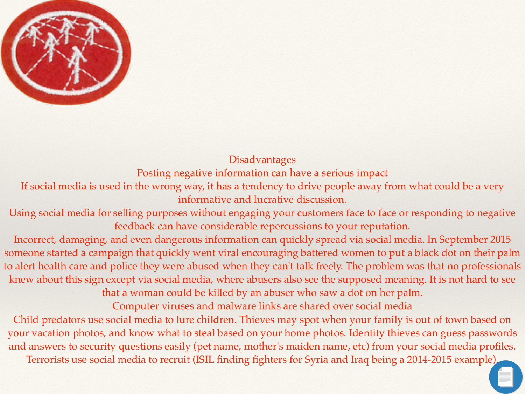

#### Disadvantages

Posting negative information can have a serious impact

If social media is used in the wrong way, it has a tendency to drive people away from what could be a very informative and lucrative discussion.

Using social media for selling purposes without engaging your customers face to face or responding to negative feedback can have considerable repercussions to your reputation.

Incorrect, damaging, and even dangerous information can quickly spread via social media. In September 2015 someone started a campaign that quickly went viral encouraging battered women to put a black dot on their palm to alert health care and police they were abused when they can't talk freely. The problem was that no professionals knew about this sign except via social media, where abusers also see the supposed meaning. It is not hard to see

that a woman could be killed by an abuser who saw a dot on her palm.

Computer viruses and malware links are shared over social media

Child predators use social media to lure children. Thieves may spot when your family is out of town based on your vacation photos, and know what to steal based on your home photos. Identity thieves can guess passwords and answers to security questions easily (pet name, mother's maiden name, etc) from your social media profiles. Terrorists use social media to recruit (ISIL finding fighters for Syria and Iraq being a 2014-2015 example).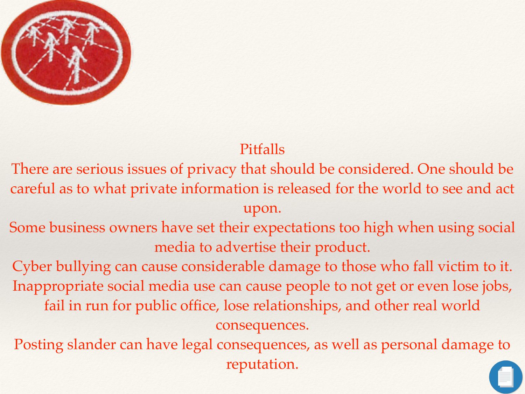

### Pitfalls

There are serious issues of privacy that should be considered. One should be careful as to what private information is released for the world to see and act upon.

Some business owners have set their expectations too high when using social media to advertise their product.

Cyber bullying can cause considerable damage to those who fall victim to it. Inappropriate social media use can cause people to not get or even lose jobs, fail in run for public office, lose relationships, and other real world consequences.

Posting slander can have legal consequences, as well as personal damage to reputation.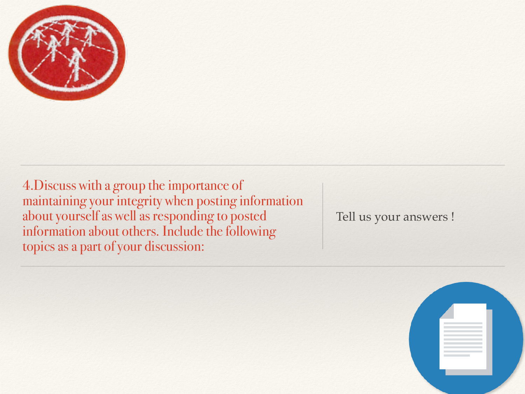

4.Discuss with a group the importance of maintaining your integrity when posting information about yourself as well as responding to posted information about others. Include the following topics as a part of your discussion:

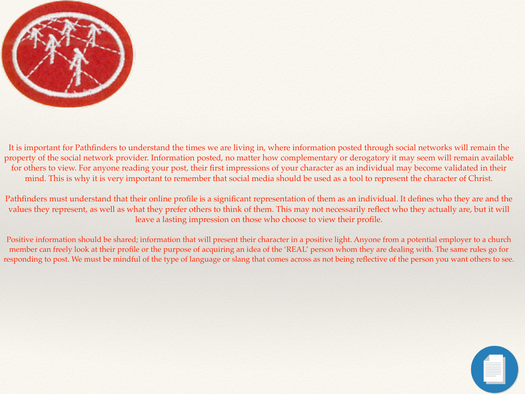

It is important for Pathfinders to understand the times we are living in, where information posted through social networks will remain the property of the social network provider. Information posted, no matter how complementary or derogatory it may seem will remain available for others to view. For anyone reading your post, their first impressions of your character as an individual may become validated in their mind. This is why it is very important to remember that social media should be used as a tool to represent the character of Christ.

Pathfinders must understand that their online profile is a significant representation of them as an individual. It defines who they are and the values they represent, as well as what they prefer others to think of them. This may not necessarily reflect who they actually are, but it will leave a lasting impression on those who choose to view their profile.

Positive information should be shared; information that will present their character in a positive light. Anyone from a potential employer to a church member can freely look at their profile or the purpose of acquiring an idea of the 'REAL' person whom they are dealing with. The same rules go for responding to post. We must be mindful of the type of language or slang that comes across as not being reflective of the person you want others to see.

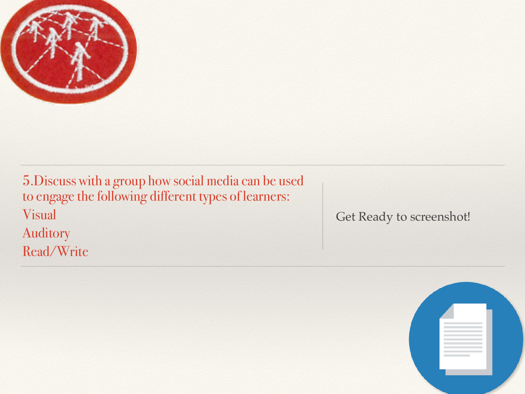

5.Discuss with a group how social media can be used to engage the following different types of learners: Visual Auditory Read/Write

Get Ready to screenshot!

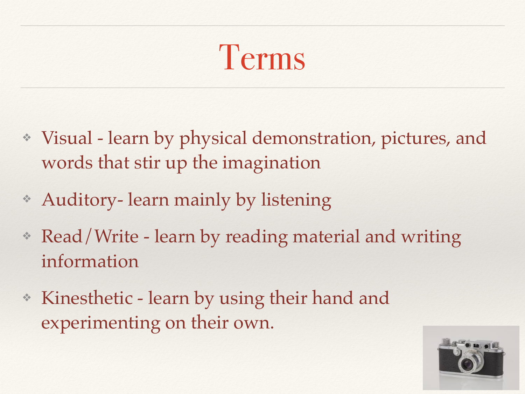## Terms

- ❖ Visual learn by physical demonstration, pictures, and words that stir up the imagination
- ❖ Auditory- learn mainly by listening
- ❖ Read/Write learn by reading material and writing information
- ❖ Kinesthetic learn by using their hand and experimenting on their own.

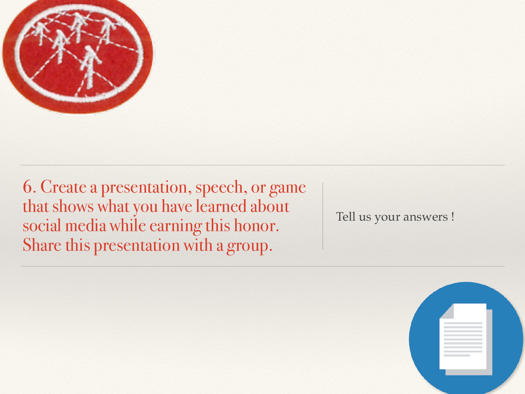

6. Create a presentation, speech, or game that shows what you have learned about social media while earning this honor. Share this presentation with a group.

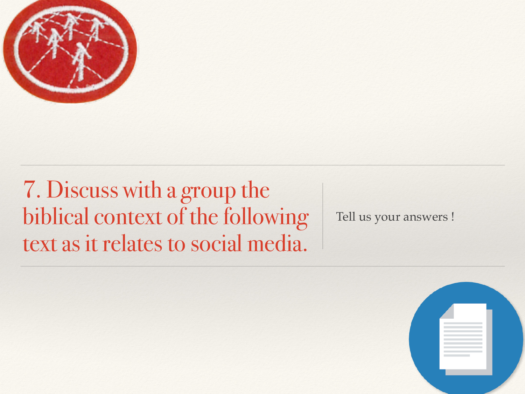

7. Discuss with a group the biblical context of the following text as it relates to social media.

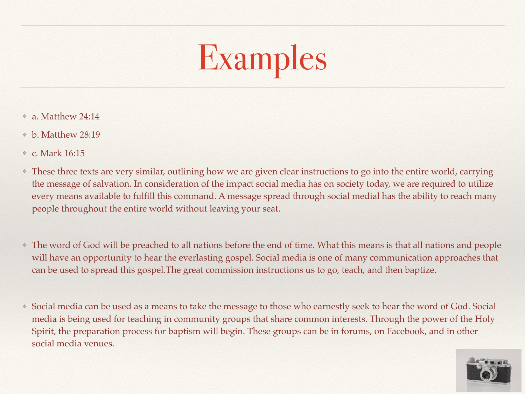

- ❖ a. Matthew 24:14
- ❖ b. Matthew 28:19
- ❖ c. Mark 16:15
- ❖ These three texts are very similar, outlining how we are given clear instructions to go into the entire world, carrying the message of salvation. In consideration of the impact social media has on society today, we are required to utilize every means available to fulfill this command. A message spread through social medial has the ability to reach many people throughout the entire world without leaving your seat.
- ❖ The word of God will be preached to all nations before the end of time. What this means is that all nations and people will have an opportunity to hear the everlasting gospel. Social media is one of many communication approaches that can be used to spread this gospel.The great commission instructions us to go, teach, and then baptize.
- ❖ Social media can be used as a means to take the message to those who earnestly seek to hear the word of God. Social media is being used for teaching in community groups that share common interests. Through the power of the Holy Spirit, the preparation process for baptism will begin. These groups can be in forums, on Facebook, and in other social media venues.

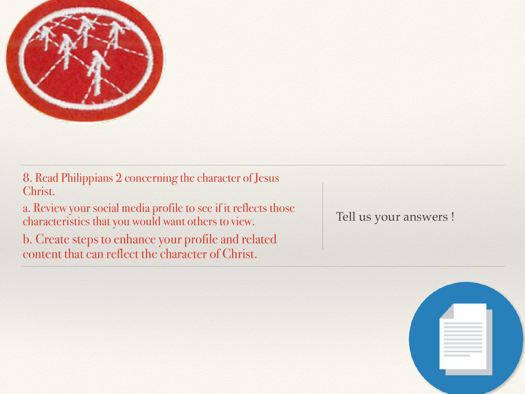

8. Read Philippians 2 concerning the character of Jesus Christ.

a. Review your social media profile to see if it reflects those characteristics that you would want others to view.

b. Create steps to enhance your profile and related content that can reflect the character of Christ.

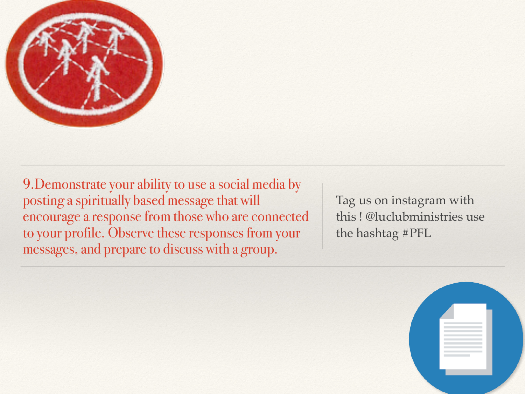

9.Demonstrate your ability to use a social media by posting a spiritually based message that will encourage a response from those who are connected to your profile. Observe these responses from your messages, and prepare to discuss with a group.

Tag us on instagram with this ! @luclubministries use the hashtag #PFL